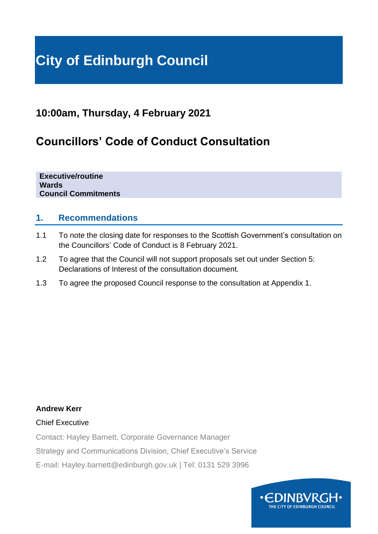# **City of Edinburgh Council**

# **10:00am, Thursday, 4 February 2021**

# **Councillors' Code of Conduct Consultation**

**Executive/routine Wards Council Commitments**

## **1. Recommendations**

- 1.1 To note the closing date for responses to the Scottish Government's consultation on the Councillors' Code of Conduct is 8 February 2021.
- 1.2 To agree that the Council will not support proposals set out under Section 5: Declarations of Interest of the consultation document.
- 1.3 To agree the proposed Council response to the consultation at Appendix 1.

#### **Andrew Kerr**

#### Chief Executive

Contact: Hayley Barnett, Corporate Governance Manager

Strategy and Communications Division, Chief Executive's Service

E-mail: Hayley.barnett@edinburgh.gov.uk | Tel: 0131 529 3996

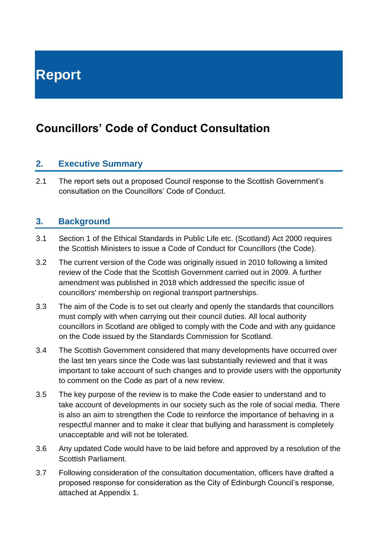# **Councillors' Code of Conduct Consultation**

# **2. Executive Summary**

2.1 The report sets out a proposed Council response to the Scottish Government's consultation on the Councillors' Code of Conduct.

# **3. Background**

- 3.1 Section 1 of the Ethical Standards in Public Life etc. (Scotland) Act 2000 requires the Scottish Ministers to issue a Code of Conduct for Councillors (the Code).
- 3.2 The current version of the Code was originally issued in 2010 following a limited review of the Code that the Scottish Government carried out in 2009. A further amendment was published in 2018 which addressed the specific issue of councillors' membership on regional transport partnerships.
- 3.3 The aim of the Code is to set out clearly and openly the standards that councillors must comply with when carrying out their council duties. All local authority councillors in Scotland are obliged to comply with the Code and with any guidance on the Code issued by the Standards Commission for Scotland.
- 3.4 The Scottish Government considered that many developments have occurred over the last ten years since the Code was last substantially reviewed and that it was important to take account of such changes and to provide users with the opportunity to comment on the Code as part of a new review.
- 3.5 The key purpose of the review is to make the Code easier to understand and to take account of developments in our society such as the role of social media. There is also an aim to strengthen the Code to reinforce the importance of behaving in a respectful manner and to make it clear that bullying and harassment is completely unacceptable and will not be tolerated.
- 3.6 Any updated Code would have to be laid before and approved by a resolution of the Scottish Parliament.
- 3.7 Following consideration of the consultation documentation, officers have drafted a proposed response for consideration as the City of Edinburgh Council's response, attached at Appendix 1.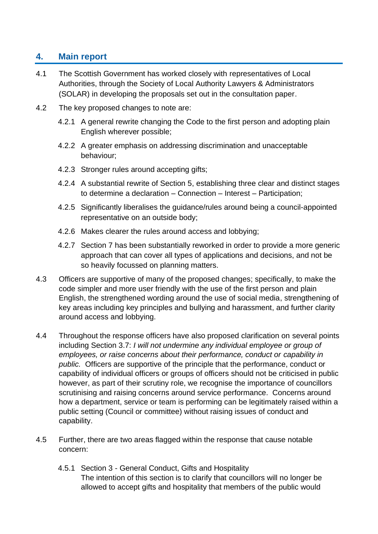# **4. Main report**

- 4.1 The Scottish Government has worked closely with representatives of Local Authorities, through the Society of Local Authority Lawyers & Administrators (SOLAR) in developing the proposals set out in the consultation paper.
- 4.2 The key proposed changes to note are:
	- 4.2.1 A general rewrite changing the Code to the first person and adopting plain English wherever possible;
	- 4.2.2 A greater emphasis on addressing discrimination and unacceptable behaviour;
	- 4.2.3 Stronger rules around accepting gifts;
	- 4.2.4 A substantial rewrite of Section 5, establishing three clear and distinct stages to determine a declaration – Connection – Interest – Participation;
	- 4.2.5 Significantly liberalises the guidance/rules around being a council-appointed representative on an outside body;
	- 4.2.6 Makes clearer the rules around access and lobbying;
	- 4.2.7 Section 7 has been substantially reworked in order to provide a more generic approach that can cover all types of applications and decisions, and not be so heavily focussed on planning matters.
- 4.3 Officers are supportive of many of the proposed changes; specifically, to make the code simpler and more user friendly with the use of the first person and plain English, the strengthened wording around the use of social media, strengthening of key areas including key principles and bullying and harassment, and further clarity around access and lobbying.
- 4.4 Throughout the response officers have also proposed clarification on several points including Section 3.7: *I will not undermine any individual employee or group of employees, or raise concerns about their performance, conduct or capability in public.* Officers are supportive of the principle that the performance, conduct or capability of individual officers or groups of officers should not be criticised in public however, as part of their scrutiny role, we recognise the importance of councillors scrutinising and raising concerns around service performance. Concerns around how a department, service or team is performing can be legitimately raised within a public setting (Council or committee) without raising issues of conduct and capability.
- 4.5 Further, there are two areas flagged within the response that cause notable concern:
	- 4.5.1 Section 3 General Conduct, Gifts and Hospitality The intention of this section is to clarify that councillors will no longer be allowed to accept gifts and hospitality that members of the public would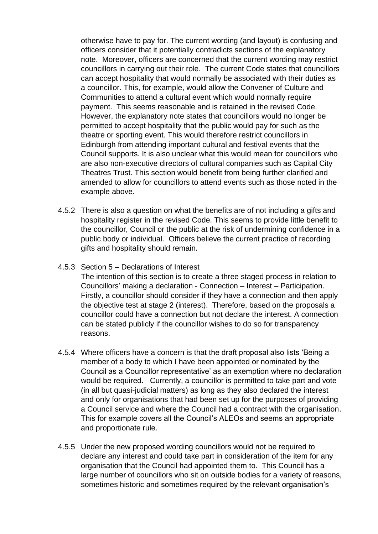otherwise have to pay for. The current wording (and layout) is confusing and officers consider that it potentially contradicts sections of the explanatory note. Moreover, officers are concerned that the current wording may restrict councillors in carrying out their role. The current Code states that councillors can accept hospitality that would normally be associated with their duties as a councillor. This, for example, would allow the Convener of Culture and Communities to attend a cultural event which would normally require payment. This seems reasonable and is retained in the revised Code. However, the explanatory note states that councillors would no longer be permitted to accept hospitality that the public would pay for such as the theatre or sporting event. This would therefore restrict councillors in Edinburgh from attending important cultural and festival events that the Council supports. It is also unclear what this would mean for councillors who are also non-executive directors of cultural companies such as Capital City Theatres Trust. This section would benefit from being further clarified and amended to allow for councillors to attend events such as those noted in the example above.

- 4.5.2 There is also a question on what the benefits are of not including a gifts and hospitality register in the revised Code. This seems to provide little benefit to the councillor, Council or the public at the risk of undermining confidence in a public body or individual. Officers believe the current practice of recording gifts and hospitality should remain.
- 4.5.3 Section 5 Declarations of Interest

The intention of this section is to create a three staged process in relation to Councillors' making a declaration - Connection – Interest – Participation. Firstly, a councillor should consider if they have a connection and then apply the objective test at stage 2 (interest). Therefore, based on the proposals a councillor could have a connection but not declare the interest. A connection can be stated publicly if the councillor wishes to do so for transparency reasons.

- 4.5.4 Where officers have a concern is that the draft proposal also lists 'Being a member of a body to which I have been appointed or nominated by the Council as a Councillor representative' as an exemption where no declaration would be required. Currently, a councillor is permitted to take part and vote (in all but quasi-judicial matters) as long as they also declared the interest and only for organisations that had been set up for the purposes of providing a Council service and where the Council had a contract with the organisation. This for example covers all the Council's ALEOs and seems an appropriate and proportionate rule.
- 4.5.5 Under the new proposed wording councillors would not be required to declare any interest and could take part in consideration of the item for any organisation that the Council had appointed them to. This Council has a large number of councillors who sit on outside bodies for a variety of reasons, sometimes historic and sometimes required by the relevant organisation's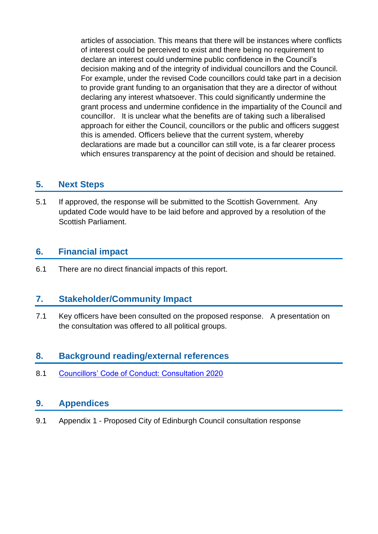articles of association. This means that there will be instances where conflicts of interest could be perceived to exist and there being no requirement to declare an interest could undermine public confidence in the Council's decision making and of the integrity of individual councillors and the Council. For example, under the revised Code councillors could take part in a decision to provide grant funding to an organisation that they are a director of without declaring any interest whatsoever. This could significantly undermine the grant process and undermine confidence in the impartiality of the Council and councillor. It is unclear what the benefits are of taking such a liberalised approach for either the Council, councillors or the public and officers suggest this is amended. Officers believe that the current system, whereby declarations are made but a councillor can still vote, is a far clearer process which ensures transparency at the point of decision and should be retained.

## **5. Next Steps**

5.1 If approved, the response will be submitted to the Scottish Government. Any updated Code would have to be laid before and approved by a resolution of the Scottish Parliament.

# **6. Financial impact**

6.1 There are no direct financial impacts of this report.

# **7. Stakeholder/Community Impact**

7.1 Key officers have been consulted on the proposed response. A presentation on the consultation was offered to all political groups.

# **8. Background reading/external references**

8.1 [Councillors' Code of Conduct: Consultation 2020](https://www.gov.scot/publications/councillors-code-conduct-consultation-2020/pages/1/)

## **9. Appendices**

9.1 Appendix 1 - Proposed City of Edinburgh Council consultation response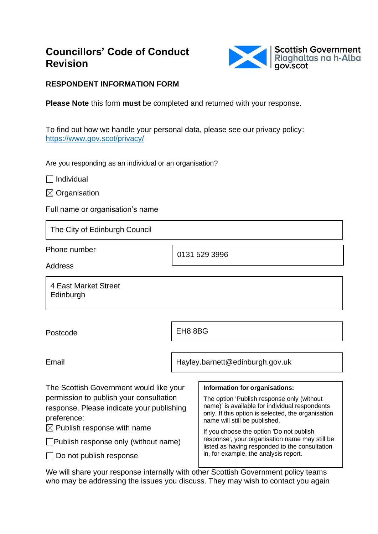# **Councillors' Code of Conduct Revision**



#### **RESPONDENT INFORMATION FORM**

**Please Note** this form **must** be completed and returned with your response.

To find out how we handle your personal data, please see our privacy policy: <https://www.gov.scot/privacy/>

Are you responding as an individual or an organisation?

 $\Box$  Individual

 $\boxtimes$  Organisation

Full name or organisation's name

The City of Edinburgh Council

Phone number

0131 529 3996

Address

4 East Market Street **Edinburgh** 

Postcode

EH8 8BG

Email

Hayley.barnett@edinburgh.gov.uk

| The Scottish Government would like your                                                             | Information for organisations:                                                                                                                                                      |
|-----------------------------------------------------------------------------------------------------|-------------------------------------------------------------------------------------------------------------------------------------------------------------------------------------|
| permission to publish your consultation<br>response. Please indicate your publishing<br>preference: | The option 'Publish response only (without<br>name)' is available for individual respondents<br>only. If this option is selected, the organisation<br>name will still be published. |
| $\boxtimes$ Publish response with name                                                              | If you choose the option 'Do not publish                                                                                                                                            |
| $\Box$ Publish response only (without name)                                                         | response', your organisation name may still be<br>listed as having responded to the consultation<br>in, for example, the analysis report.                                           |
| $\Box$ Do not publish response                                                                      |                                                                                                                                                                                     |

 $\blacksquare$ 

We will share your response internally with other Scottish Government policy teams who may be addressing the issues you discuss. They may wish to contact you again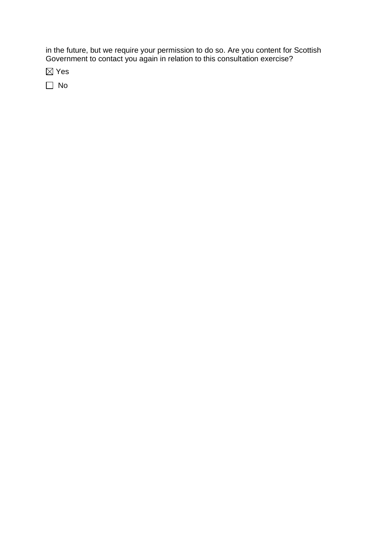in the future, but we require your permission to do so. Are you content for Scottish Government to contact you again in relation to this consultation exercise?

Yes

 $\Box$  No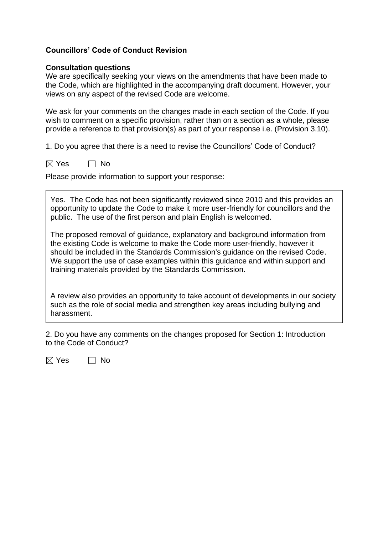#### **Councillors' Code of Conduct Revision**

#### **Consultation questions**

We are specifically seeking your views on the amendments that have been made to the Code, which are highlighted in the accompanying draft document. However, your views on any aspect of the revised Code are welcome.

We ask for your comments on the changes made in each section of the Code. If you wish to comment on a specific provision, rather than on a section as a whole, please provide a reference to that provision(s) as part of your response i.e. (Provision 3.10).

1. Do you agree that there is a need to revise the Councillors' Code of Conduct?

 $\boxtimes$  Yes  $\Box$  No

Please provide information to support your response:

Yes. The Code has not been significantly reviewed since 2010 and this provides an opportunity to update the Code to make it more user-friendly for councillors and the public. The use of the first person and plain English is welcomed.

The proposed removal of guidance, explanatory and background information from the existing Code is welcome to make the Code more user-friendly, however it should be included in the Standards Commission's guidance on the revised Code. We support the use of case examples within this guidance and within support and training materials provided by the Standards Commission.

A review also provides an opportunity to take account of developments in our society such as the role of social media and strengthen key areas including bullying and harassment.

2. Do you have any comments on the changes proposed for Section 1: Introduction to the Code of Conduct?

 $\boxtimes$  Yes  $\Box$  No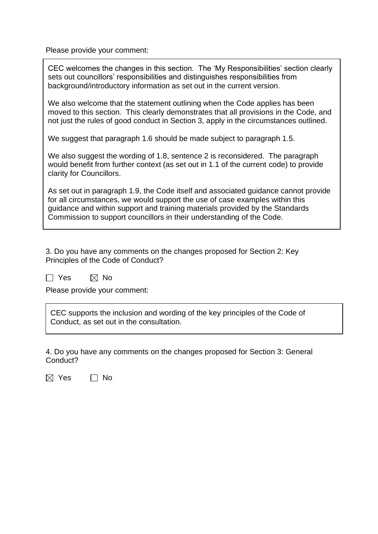Please provide your comment:

CEC welcomes the changes in this section. The 'My Responsibilities' section clearly sets out councillors' responsibilities and distinguishes responsibilities from background/introductory information as set out in the current version.

We also welcome that the statement outlining when the Code applies has been moved to this section. This clearly demonstrates that all provisions in the Code, and not just the rules of good conduct in Section 3, apply in the circumstances outlined.

We suggest that paragraph 1.6 should be made subject to paragraph 1.5.

We also suggest the wording of 1.8, sentence 2 is reconsidered. The paragraph would benefit from further context (as set out in 1.1 of the current code) to provide clarity for Councillors.

As set out in paragraph 1.9, the Code itself and associated guidance cannot provide for all circumstances, we would support the use of case examples within this guidance and within support and training materials provided by the Standards Commission to support councillors in their understanding of the Code.

3. Do you have any comments on the changes proposed for Section 2: Key Principles of the Code of Conduct?

 $\Box$  Yes  $\boxtimes$  No

Please provide your comment:

CEC supports the inclusion and wording of the key principles of the Code of Conduct, as set out in the consultation.

4. Do you have any comments on the changes proposed for Section 3: General Conduct?

 $\boxtimes$  Yes  $\Box$  No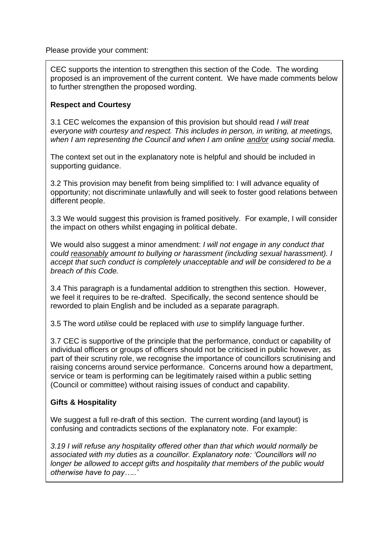Please provide your comment:

CEC supports the intention to strengthen this section of the Code. The wording proposed is an improvement of the current content. We have made comments below to further strengthen the proposed wording.

#### **Respect and Courtesy**

3.1 CEC welcomes the expansion of this provision but should read *I will treat everyone with courtesy and respect. This includes in person, in writing, at meetings, when I am representing the Council and when I am online and/or using social media.*

The context set out in the explanatory note is helpful and should be included in supporting guidance.

3.2 This provision may benefit from being simplified to: I will advance equality of opportunity; not discriminate unlawfully and will seek to foster good relations between different people.

3.3 We would suggest this provision is framed positively. For example, I will consider the impact on others whilst engaging in political debate.

We would also suggest a minor amendment: *I will not engage in any conduct that could reasonably amount to bullying or harassment (including sexual harassment). I accept that such conduct is completely unacceptable and will be considered to be a breach of this Code.*

3.4 This paragraph is a fundamental addition to strengthen this section. However, we feel it requires to be re-drafted. Specifically, the second sentence should be reworded to plain English and be included as a separate paragraph.

3.5 The word *utilise* could be replaced with *use* to simplify language further.

3.7 CEC is supportive of the principle that the performance, conduct or capability of individual officers or groups of officers should not be criticised in public however, as part of their scrutiny role, we recognise the importance of councillors scrutinising and raising concerns around service performance. Concerns around how a department, service or team is performing can be legitimately raised within a public setting (Council or committee) without raising issues of conduct and capability.

#### **Gifts & Hospitality**

We suggest a full re-draft of this section. The current wording (and layout) is confusing and contradicts sections of the explanatory note. For example:

*3.19 I will refuse any hospitality offered other than that which would normally be associated with my duties as a councillor. Explanatory note: 'Councillors will no longer be allowed to accept gifts and hospitality that members of the public would otherwise have to pay…..'*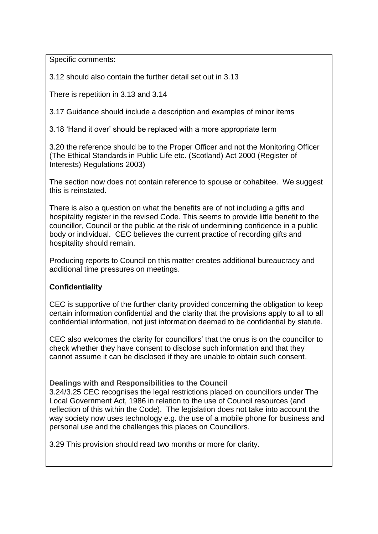Specific comments:

3.12 should also contain the further detail set out in 3.13

There is repetition in 3.13 and 3.14

3.17 Guidance should include a description and examples of minor items

3.18 'Hand it over' should be replaced with a more appropriate term

3.20 the reference should be to the Proper Officer and not the Monitoring Officer (The Ethical Standards in Public Life etc. (Scotland) Act 2000 (Register of Interests) Regulations 2003)

The section now does not contain reference to spouse or cohabitee. We suggest this is reinstated.

There is also a question on what the benefits are of not including a gifts and hospitality register in the revised Code. This seems to provide little benefit to the councillor, Council or the public at the risk of undermining confidence in a public body or individual. CEC believes the current practice of recording gifts and hospitality should remain.

Producing reports to Council on this matter creates additional bureaucracy and additional time pressures on meetings.

#### **Confidentiality**

CEC is supportive of the further clarity provided concerning the obligation to keep certain information confidential and the clarity that the provisions apply to all to all confidential information, not just information deemed to be confidential by statute.

CEC also welcomes the clarity for councillors' that the onus is on the councillor to check whether they have consent to disclose such information and that they cannot assume it can be disclosed if they are unable to obtain such consent.

#### **Dealings with and Responsibilities to the Council**

3.24/3.25 CEC recognises the legal restrictions placed on councillors under The Local Government Act, 1986 in relation to the use of Council resources (and reflection of this within the Code). The legislation does not take into account the way society now uses technology e.g. the use of a mobile phone for business and personal use and the challenges this places on Councillors.

3.29 This provision should read two months or more for clarity.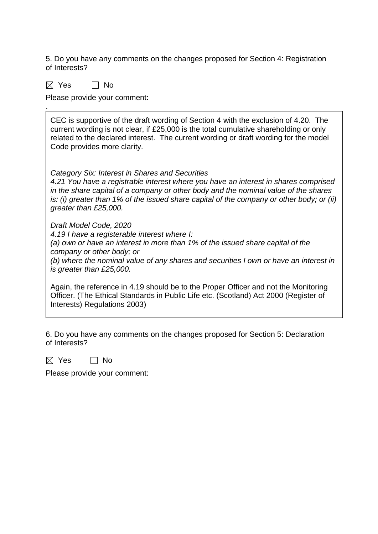5. Do you have any comments on the changes proposed for Section 4: Registration of Interests?

 $\boxtimes$  Yes  $\Box$  No

.

Please provide your comment:

CEC is supportive of the draft wording of Section 4 with the exclusion of 4.20. The current wording is not clear, if £25,000 is the total cumulative shareholding or only related to the declared interest. The current wording or draft wording for the model Code provides more clarity.

*Category Six: Interest in Shares and Securities* 

*4.21 You have a registrable interest where you have an interest in shares comprised in the share capital of a company or other body and the nominal value of the shares is: (i) greater than 1% of the issued share capital of the company or other body; or (ii) greater than £25,000.*

*Draft Model Code, 2020*

*4.19 I have a registerable interest where I:*

*(a) own or have an interest in more than 1% of the issued share capital of the company or other body; or*

*(b) where the nominal value of any shares and securities I own or have an interest in is greater than £25,000.*

Again, the reference in 4.19 should be to the Proper Officer and not the Monitoring Officer. (The Ethical Standards in Public Life etc. (Scotland) Act 2000 (Register of Interests) Regulations 2003)

6. Do you have any comments on the changes proposed for Section 5: Declaration of Interests?

 $\boxtimes$  Yes  $\Box$  No

Please provide your comment: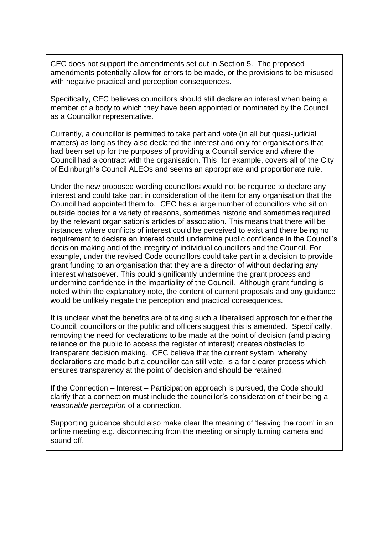CEC does not support the amendments set out in Section 5. The proposed amendments potentially allow for errors to be made, or the provisions to be misused with negative practical and perception consequences.

Specifically, CEC believes councillors should still declare an interest when being a member of a body to which they have been appointed or nominated by the Council as a Councillor representative.

Currently, a councillor is permitted to take part and vote (in all but quasi-judicial matters) as long as they also declared the interest and only for organisations that had been set up for the purposes of providing a Council service and where the Council had a contract with the organisation. This, for example, covers all of the City of Edinburgh's Council ALEOs and seems an appropriate and proportionate rule.

Under the new proposed wording councillors would not be required to declare any interest and could take part in consideration of the item for any organisation that the Council had appointed them to. CEC has a large number of councillors who sit on outside bodies for a variety of reasons, sometimes historic and sometimes required by the relevant organisation's articles of association. This means that there will be instances where conflicts of interest could be perceived to exist and there being no requirement to declare an interest could undermine public confidence in the Council's decision making and of the integrity of individual councillors and the Council. For example, under the revised Code councillors could take part in a decision to provide grant funding to an organisation that they are a director of without declaring any interest whatsoever. This could significantly undermine the grant process and undermine confidence in the impartiality of the Council. Although grant funding is noted within the explanatory note, the content of current proposals and any guidance would be unlikely negate the perception and practical consequences.

It is unclear what the benefits are of taking such a liberalised approach for either the Council, councillors or the public and officers suggest this is amended. Specifically, removing the need for declarations to be made at the point of decision (and placing reliance on the public to access the register of interest) creates obstacles to transparent decision making. CEC believe that the current system, whereby declarations are made but a councillor can still vote, is a far clearer process which ensures transparency at the point of decision and should be retained.

If the Connection – Interest – Participation approach is pursued, the Code should clarify that a connection must include the councillor's consideration of their being a *reasonable perception* of a connection.

Supporting guidance should also make clear the meaning of 'leaving the room' in an online meeting e.g. disconnecting from the meeting or simply turning camera and sound off.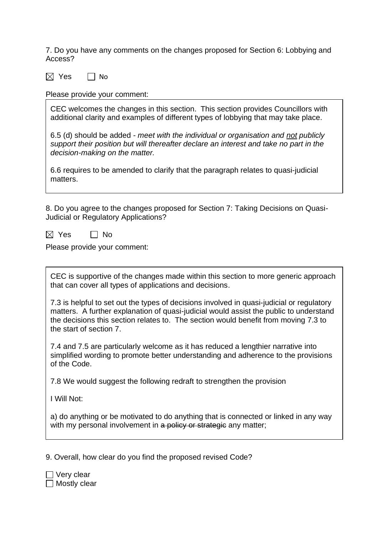7. Do you have any comments on the changes proposed for Section 6: Lobbying and Access?

 $\boxtimes$  Yes  $\Box$  No

Please provide your comment:

CEC welcomes the changes in this section. This section provides Councillors with additional clarity and examples of different types of lobbying that may take place.

6.5 (d) should be added - *meet with the individual or organisation and not publicly support their position but will thereafter declare an interest and take no part in the decision-making on the matter.*

6.6 requires to be amended to clarify that the paragraph relates to quasi-judicial matters.

8. Do you agree to the changes proposed for Section 7: Taking Decisions on Quasi-Judicial or Regulatory Applications?

 $\boxtimes$  Yes  $\Box$  No

Please provide your comment:

CEC is supportive of the changes made within this section to more generic approach that can cover all types of applications and decisions.

7.3 is helpful to set out the types of decisions involved in quasi-judicial or regulatory matters. A further explanation of quasi-judicial would assist the public to understand the decisions this section relates to. The section would benefit from moving 7.3 to the start of section 7.

7.4 and 7.5 are particularly welcome as it has reduced a lengthier narrative into simplified wording to promote better understanding and adherence to the provisions of the Code.

7.8 We would suggest the following redraft to strengthen the provision

I Will Not:

a) do anything or be motivated to do anything that is connected or linked in any way with my personal involvement in a policy or strategie any matter;

9. Overall, how clear do you find the proposed revised Code?

Very clear  $\Box$  Mostly clear